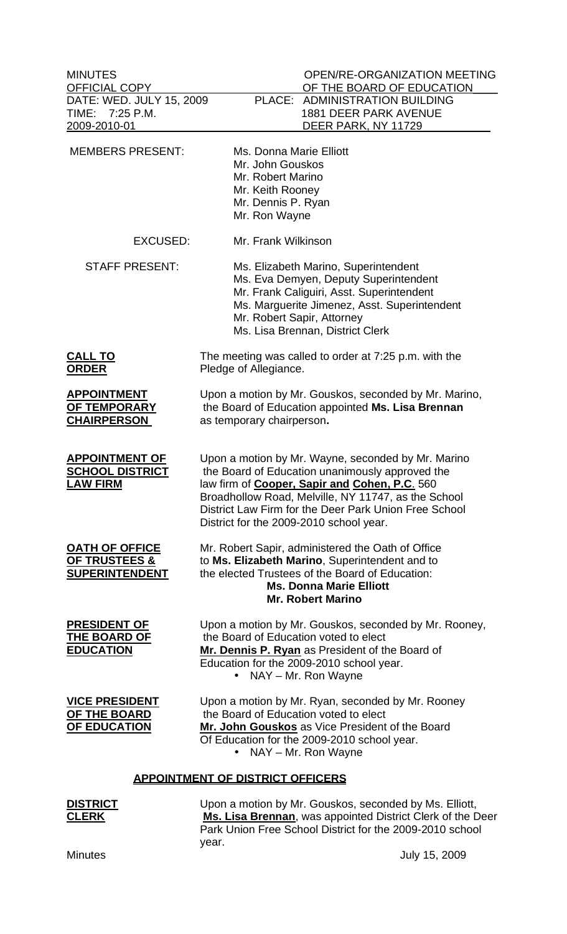MINUTES OPEN/RE-ORGANIZATION MEETING OFFICIAL COPY OF THE BOARD OF EDUCATION DATE: WED. JULY 15, 2009 PLACE: ADMINISTRATION BUILDING TIME: 7:25 P.M. 1881 DEER PARK AVENUE<br>2009-2010-01 DEER PARK, NY 11729 DEER PARK, NY 11729 MEMBERS PRESENT: Ms. Donna Marie Elliott Mr. John Gouskos Mr. Robert Marino Mr. Keith Rooney Mr. Dennis P. Ryan Mr. Ron Wayne EXCUSED: Mr. Frank Wilkinson STAFF PRESENT: Ms. Elizabeth Marino, Superintendent Ms. Eva Demyen, Deputy Superintendent Mr. Frank Caliguiri, Asst. Superintendent Ms. Marguerite Jimenez, Asst. Superintendent Mr. Robert Sapir, Attorney Ms. Lisa Brennan, District Clerk **CALL TO** The meeting was called to order at 7:25 p.m. with the **ORDER** Pledge of Allegiance. **APPOINTMENT** Upon a motion by Mr. Gouskos, seconded by Mr. Marino, **OF TEMPORARY** the Board of Education appointed **Ms. Lisa Brennan CHAIRPERSON** as temporary chairperson**. APPOINTMENT OF** Upon a motion by Mr. Wayne, seconded by Mr. Marino<br>**SCHOOL DISTRICT** the Board of Education unanimously approved the the Board of Education unanimously approved the **LAW FIRM** law firm of **Cooper, Sapir and Cohen, P.C**. 560 Broadhollow Road, Melville, NY 11747, as the School District Law Firm for the Deer Park Union Free School District for the 2009-2010 school year. **OATH OF OFFICE** Mr. Robert Sapir, administered the Oath of Office **OF TRUSTEES &** to **Ms. Elizabeth Marino**, Superintendent and to **SUPERINTENDENT** the elected Trustees of the Board of Education: **Ms. Donna Marie Elliott Mr. Robert Marino PRESIDENT OF** Upon a motion by Mr. Gouskos, seconded by Mr. Rooney, **THE BOARD OF** the Board of Education voted to elect **EDUCATION Mr. Dennis P. Ryan** as President of the Board of Education for the 2009-2010 school year. • NAY – Mr. Ron Wayne **VICE PRESIDENT** Upon a motion by Mr. Ryan, seconded by Mr. Rooney **OF THE BOARD** the Board of Education voted to elect **OF EDUCATION Mr. John Gouskos** as Vice President of the Board Of Education for the 2009-2010 school year. • NAY – Mr. Ron Wayne **APPOINTMENT OF DISTRICT OFFICERS DISTRICT** Upon a motion by Mr. Gouskos, seconded by Ms. Elliott, **CLERK Ms. Lisa Brennan**, was appointed District Clerk of the Deer

year. Minutes July 15, 2009

Park Union Free School District for the 2009-2010 school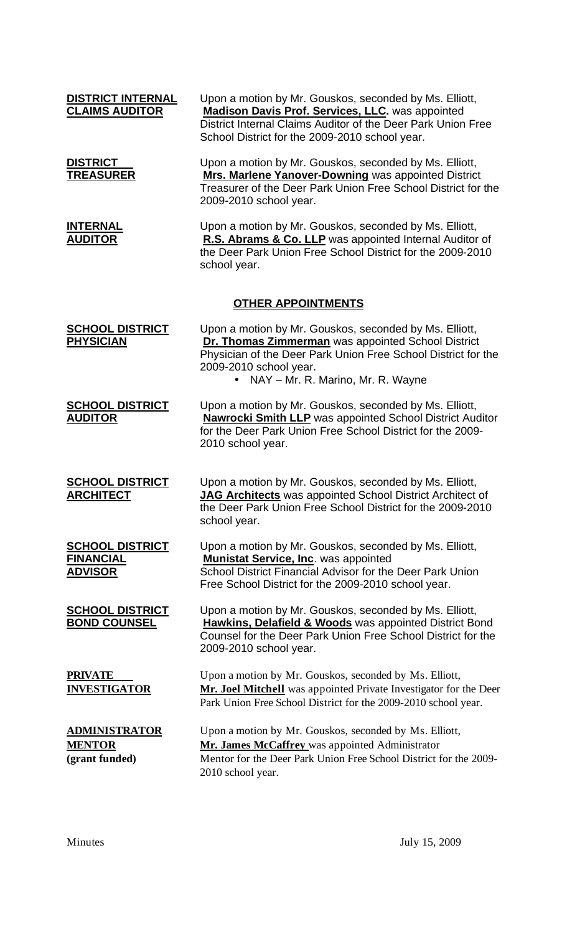| DISTRICT INTERNAL<br><b>CLAIMS AUDITOR</b>                   | Upon a motion by Mr. Gouskos, seconded by Ms. Elliott,<br><b>Madison Davis Prof. Services, LLC. was appointed</b><br>District Internal Claims Auditor of the Deer Park Union Free<br>School District for the 2009-2010 school year.            |
|--------------------------------------------------------------|------------------------------------------------------------------------------------------------------------------------------------------------------------------------------------------------------------------------------------------------|
| <b>DISTRICT</b><br>T <u>REASURER</u>                         | Upon a motion by Mr. Gouskos, seconded by Ms. Elliott,<br>Mrs. Marlene Yanover-Downing was appointed District<br>Treasurer of the Deer Park Union Free School District for the<br>2009-2010 school year.                                       |
| <b>INTERNAL</b><br><u>AUDITOR</u>                            | Upon a motion by Mr. Gouskos, seconded by Ms. Elliott,<br>R.S. Abrams & Co. LLP was appointed Internal Auditor of<br>the Deer Park Union Free School District for the 2009-2010<br>school year.                                                |
|                                                              | <u>OTHER APPOINTMENTS</u>                                                                                                                                                                                                                      |
| <b>SCHOOL DISTRICT</b><br><b>PHYSICIAN</b>                   | Upon a motion by Mr. Gouskos, seconded by Ms. Elliott,<br>Dr. Thomas Zimmerman was appointed School District<br>Physician of the Deer Park Union Free School District for the<br>2009-2010 school year.<br>• NAY - Mr. R. Marino, Mr. R. Wayne |
| <b>SCHOOL DISTRICT</b><br><b>AUDITOR</b>                     | Upon a motion by Mr. Gouskos, seconded by Ms. Elliott,<br><b>Nawrocki Smith LLP</b> was appointed School District Auditor<br>for the Deer Park Union Free School District for the 2009-<br>2010 school year.                                   |
| <b>SCHOOL DISTRICT</b><br><u>ARCHITECT</u>                   | Upon a motion by Mr. Gouskos, seconded by Ms. Elliott,<br>JAG Architects was appointed School District Architect of<br>the Deer Park Union Free School District for the 2009-2010<br>school year.                                              |
| <u>SCHOOL DISTRICT</u><br><b>FINANCIAL</b><br><b>ADVISOR</b> | Upon a motion by Mr. Gouskos, seconded by Ms. Elliott,<br><b>Munistat Service, Inc. was appointed</b><br>School District Financial Advisor for the Deer Park Union<br>Free School District for the 2009-2010 school year.                      |
| <u>SCHOOL DISTRICT</u><br><b>BOND COUNSEL</b>                | Upon a motion by Mr. Gouskos, seconded by Ms. Elliott,<br><b>Hawkins, Delafield &amp; Woods</b> was appointed District Bond<br>Counsel for the Deer Park Union Free School District for the<br>2009-2010 school year.                          |
| <u>PRIVATE</u><br><u>INVESTIGATOR</u>                        | Upon a motion by Mr. Gouskos, seconded by Ms. Elliott,<br>Mr. Joel Mitchell was appointed Private Investigator for the Deer<br>Park Union Free School District for the 2009-2010 school year.                                                  |
| <u>ADMINISTRATOR</u><br><b>MENTOR</b><br>(grant funded)      | Upon a motion by Mr. Gouskos, seconded by Ms. Elliott,<br>Mr. James McCaffrey was appointed Administrator<br>Mentor for the Deer Park Union Free School District for the 2009-<br>2010 school year.                                            |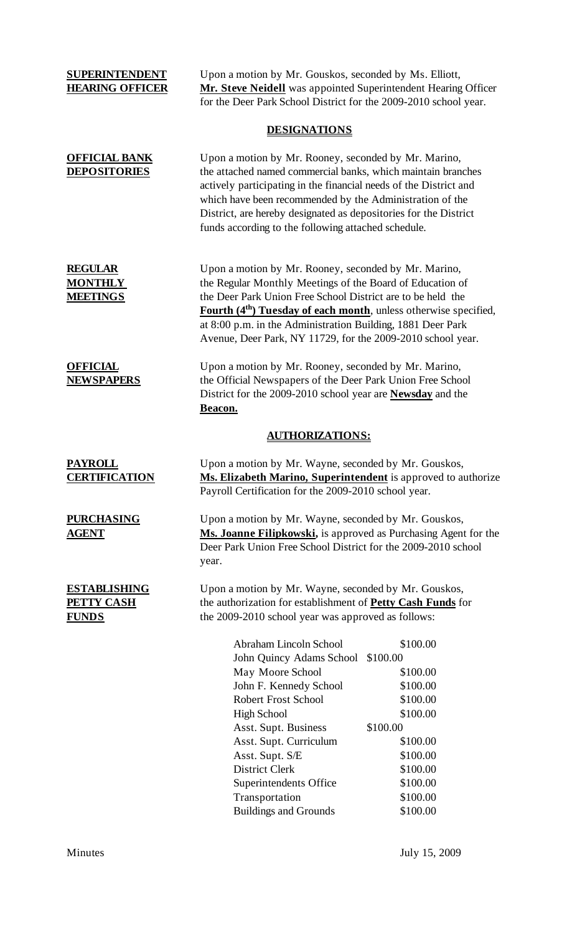**SUPERINTENDENT** Upon a motion by Mr. Gouskos, seconded by Ms. Elliott, **HEARING OFFICER** Mr. Steve Neidell was appointed Superintendent Hearing Officer for the Deer Park School District for the 2009-2010 school year.

#### **DESIGNATIONS**

| <b>OFFICIAL BANK</b><br><b>DEPOSITORIES</b>              | Upon a motion by Mr. Rooney, seconded by Mr. Marino,<br>the attached named commercial banks, which maintain branches<br>actively participating in the financial needs of the District and<br>which have been recommended by the Administration of the<br>District, are hereby designated as depositories for the District<br>funds according to the following attached schedule.               |                                                                                  |
|----------------------------------------------------------|------------------------------------------------------------------------------------------------------------------------------------------------------------------------------------------------------------------------------------------------------------------------------------------------------------------------------------------------------------------------------------------------|----------------------------------------------------------------------------------|
| <b>REGULAR</b><br><b>MONTHLY</b><br><b>MEETINGS</b>      | Upon a motion by Mr. Rooney, seconded by Mr. Marino,<br>the Regular Monthly Meetings of the Board of Education of<br>the Deer Park Union Free School District are to be held the<br>Fourth (4 <sup>th</sup> ) Tuesday of each month, unless otherwise specified,<br>at 8:00 p.m. in the Administration Building, 1881 Deer Park<br>Avenue, Deer Park, NY 11729, for the 2009-2010 school year. |                                                                                  |
| <b>OFFICIAL</b><br><b>NEWSPAPERS</b>                     | Upon a motion by Mr. Rooney, seconded by Mr. Marino,<br>the Official Newspapers of the Deer Park Union Free School<br>District for the 2009-2010 school year are <b>Newsday</b> and the<br>Beacon.                                                                                                                                                                                             |                                                                                  |
|                                                          | <b>AUTHORIZATIONS:</b>                                                                                                                                                                                                                                                                                                                                                                         |                                                                                  |
| <b>PAYROLL</b><br><b>CERTIFICATION</b>                   | Upon a motion by Mr. Wayne, seconded by Mr. Gouskos,<br>Ms. Elizabeth Marino, Superintendent is approved to authorize<br>Payroll Certification for the 2009-2010 school year.                                                                                                                                                                                                                  |                                                                                  |
| <b>PURCHASING</b><br><u>AGENT</u>                        | Upon a motion by Mr. Wayne, seconded by Mr. Gouskos,<br>Ms. Joanne Filipkowski, is approved as Purchasing Agent for the<br>Deer Park Union Free School District for the 2009-2010 school<br>year.                                                                                                                                                                                              |                                                                                  |
| <b>ESTABLISHING</b><br><b>PETTY CASH</b><br><b>FUNDS</b> | Upon a motion by Mr. Wayne, seconded by Mr. Gouskos,<br>the authorization for establishment of <b>Petty Cash Funds</b> for<br>the 2009-2010 school year was approved as follows:                                                                                                                                                                                                               |                                                                                  |
|                                                          | Abraham Lincoln School<br>John Quincy Adams School<br>May Moore School<br>John F. Kennedy School<br><b>Robert Frost School</b><br><b>High School</b><br>Asst. Supt. Business                                                                                                                                                                                                                   | \$100.00<br>\$100.00<br>\$100.00<br>\$100.00<br>\$100.00<br>\$100.00<br>\$100.00 |
|                                                          | Asst. Supt. Curriculum<br>Asst. Supt. S/E<br><b>District Clerk</b><br>Superintendents Office<br>Transportation                                                                                                                                                                                                                                                                                 | \$100.00<br>\$100.00<br>\$100.00<br>\$100.00<br>\$100.00                         |

Buildings and Grounds \$100.00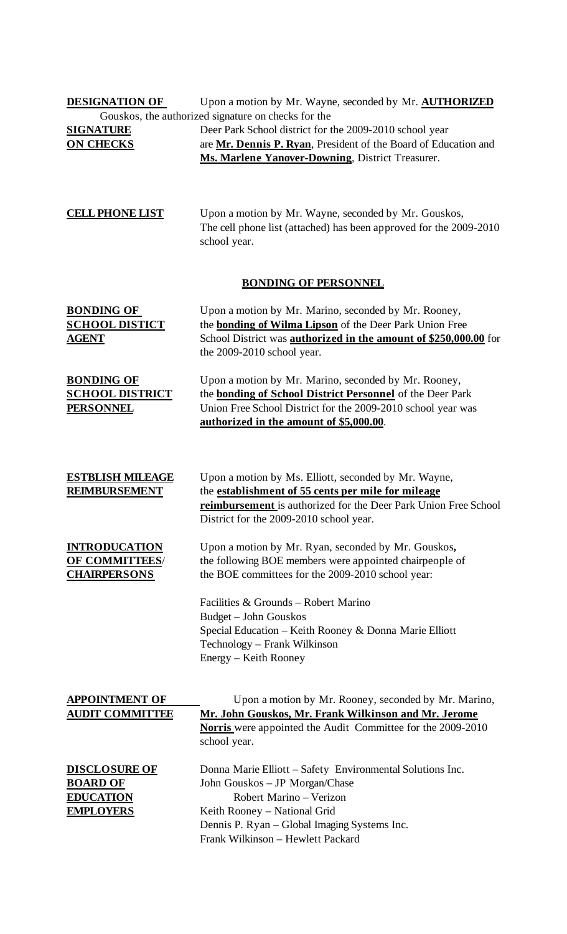| <b>DESIGNATION OF</b>                                                           | Upon a motion by Mr. Wayne, seconded by Mr. <b>AUTHORIZED</b>                                                                                                                                                                               |  |  |
|---------------------------------------------------------------------------------|---------------------------------------------------------------------------------------------------------------------------------------------------------------------------------------------------------------------------------------------|--|--|
| <b>SIGNATURE</b><br><b>ON CHECKS</b>                                            | Gouskos, the authorized signature on checks for the<br>Deer Park School district for the 2009-2010 school year<br>are Mr. Dennis P. Ryan, President of the Board of Education and<br>Ms. Marlene Yanover-Downing, District Treasurer.       |  |  |
| <b>CELL PHONE LIST</b>                                                          | Upon a motion by Mr. Wayne, seconded by Mr. Gouskos,<br>The cell phone list (attached) has been approved for the 2009-2010<br>school year.                                                                                                  |  |  |
| <b>BONDING OF PERSONNEL</b>                                                     |                                                                                                                                                                                                                                             |  |  |
| <b>BONDING OF</b><br><b>SCHOOL DISTICT</b><br><b>AGENT</b>                      | Upon a motion by Mr. Marino, seconded by Mr. Rooney,<br>the <b>bonding of Wilma Lipson</b> of the Deer Park Union Free<br>School District was <b>authorized in the amount of \$250,000.00</b> for<br>the 2009-2010 school year.             |  |  |
| <b>BONDING OF</b><br><b>SCHOOL DISTRICT</b><br><b>PERSONNEL</b>                 | Upon a motion by Mr. Marino, seconded by Mr. Rooney,<br>the <b>bonding of School District Personnel</b> of the Deer Park<br>Union Free School District for the 2009-2010 school year was<br>authorized in the amount of \$5,000.00.         |  |  |
| <b>ESTBLISH MILEAGE</b><br><b>REIMBURSEMENT</b>                                 | Upon a motion by Ms. Elliott, seconded by Mr. Wayne,<br>the establishment of 55 cents per mile for mileage<br>reimbursement is authorized for the Deer Park Union Free School<br>District for the 2009-2010 school year.                    |  |  |
| <b>INTRODUCATION</b><br>OF COMMITTEES/<br><b>CHAIRPERSONS</b>                   | Upon a motion by Mr. Ryan, seconded by Mr. Gouskos,<br>the following BOE members were appointed chairpeople of<br>the BOE committees for the 2009-2010 school year:                                                                         |  |  |
|                                                                                 | Facilities & Grounds - Robert Marino<br>Budget - John Gouskos<br>Special Education - Keith Rooney & Donna Marie Elliott<br>Technology - Frank Wilkinson<br>Energy – Keith Rooney                                                            |  |  |
| <b>APPOINTMENT OF</b><br><b>AUDIT COMMITTEE</b>                                 | Upon a motion by Mr. Rooney, seconded by Mr. Marino,<br>Mr. John Gouskos, Mr. Frank Wilkinson and Mr. Jerome<br><b>Norris</b> were appointed the Audit Committee for the 2009-2010<br>school year.                                          |  |  |
| <b>DISCLOSURE OF</b><br><b>BOARD OF</b><br><b>EDUCATION</b><br><b>EMPLOYERS</b> | Donna Marie Elliott – Safety Environmental Solutions Inc.<br>John Gouskos - JP Morgan/Chase<br>Robert Marino - Verizon<br>Keith Rooney - National Grid<br>Dennis P. Ryan - Global Imaging Systems Inc.<br>Frank Wilkinson - Hewlett Packard |  |  |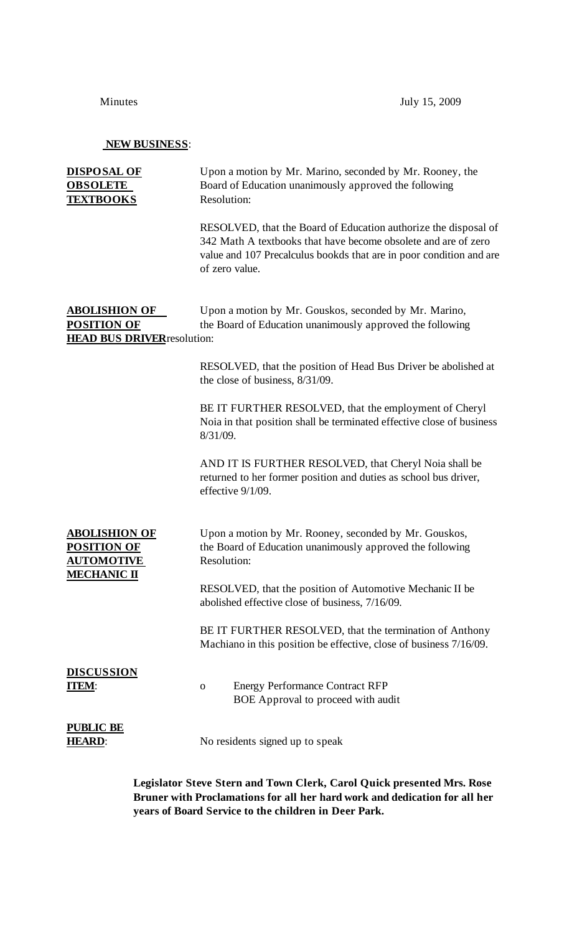### **NEW BUSINESS**:

| <b>DISPOSAL OF</b><br><b>OBSOLETE</b><br><b>TEXTBOOKS</b>                            | Upon a motion by Mr. Marino, seconded by Mr. Rooney, the<br>Board of Education unanimously approved the following<br>Resolution:                                                                                           |
|--------------------------------------------------------------------------------------|----------------------------------------------------------------------------------------------------------------------------------------------------------------------------------------------------------------------------|
|                                                                                      | RESOLVED, that the Board of Education authorize the disposal of<br>342 Math A textbooks that have become obsolete and are of zero<br>value and 107 Precalculus bookds that are in poor condition and are<br>of zero value. |
| <b>ABOLISHION OF</b><br><b>POSITION OF</b><br><b>HEAD BUS DRIVER</b> resolution:     | Upon a motion by Mr. Gouskos, seconded by Mr. Marino,<br>the Board of Education unanimously approved the following                                                                                                         |
|                                                                                      | RESOLVED, that the position of Head Bus Driver be abolished at<br>the close of business, 8/31/09.                                                                                                                          |
|                                                                                      | BE IT FURTHER RESOLVED, that the employment of Cheryl<br>Noia in that position shall be terminated effective close of business<br>8/31/09.                                                                                 |
|                                                                                      | AND IT IS FURTHER RESOLVED, that Cheryl Noia shall be<br>returned to her former position and duties as school bus driver,<br>effective 9/1/09.                                                                             |
| <b>ABOLISHION OF</b><br><u>POSITION OF</u><br><b>AUTOMOTIVE</b><br><u>MECHANIC П</u> | Upon a motion by Mr. Rooney, seconded by Mr. Gouskos,<br>the Board of Education unanimously approved the following<br>Resolution:                                                                                          |
|                                                                                      | RESOLVED, that the position of Automotive Mechanic II be<br>abolished effective close of business, 7/16/09.                                                                                                                |
|                                                                                      | BE IT FURTHER RESOLVED, that the termination of Anthony<br>Machiano in this position be effective, close of business 7/16/09.                                                                                              |
| <b>DISCUSSION</b><br><b>[TEM]:</b>                                                   | <b>Energy Performance Contract RFP</b><br>0<br>BOE Approval to proceed with audit                                                                                                                                          |
| <b>PUBLIC BE</b><br><u>HEARD:</u>                                                    | No residents signed up to speak                                                                                                                                                                                            |

**Legislator Steve Stern and Town Clerk, Carol Quick presented Mrs. Rose Bruner with Proclamations for all her hard work and dedication for all her years of Board Service to the children in Deer Park.**